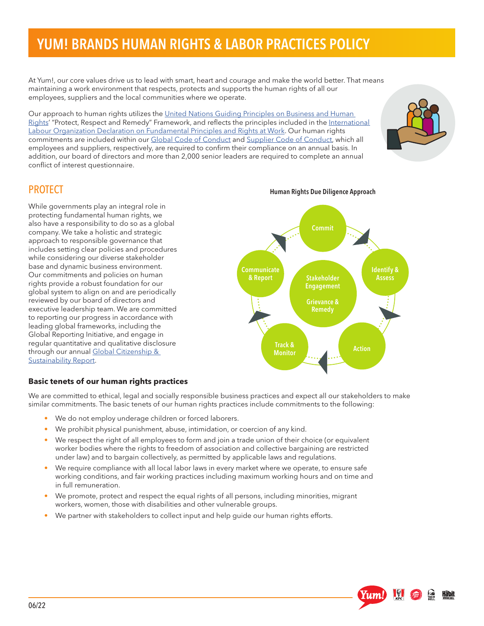# YUM! BRANDS HUMAN RIGHTS & LABOR PRACTICES POLICY

At Yum!, our core values drive us to lead with smart, heart and courage and make the world better. That means maintaining a work environment that respects, protects and supports the human rights of all our employees, suppliers and the local communities where we operate.

Our approach to human rights utilizes the United Nations Guiding Principles on Business and Human [Rights](https://www.ohchr.org/sites/default/files/Documents/Publications/GuidingPrinciplesBusinessHR_EN.pdf)' "Protect, Respect and Remedy" Framework, and reflects the principles included in the International [Labour Organization Declaration on Fundamental Principles and Rights at Work](https://www.ilo.org/declaration/lang--en/index.htm). Our human rights commitments are included within our [Global Code of Conduct](https://investors.yum.com/governance/code-of-conduct/default.aspx) and [Supplier Code of Conduct](https://www.yum.com/wps/wcm/connect/yumbrands/ee4388a7-7ee8-4e54-8fb0-df2723fcc940/Supplier_Code_of_Conduct.pdf?MOD=AJPERES&CVID=n8PXl5u), which all employees and suppliers, respectively, are required to confirm their compliance on an annual basis. In addition, our board of directors and more than 2,000 senior leaders are required to complete an annual conflict of interest questionnaire.



### **PROTECT**

While governments play an integral role in protecting fundamental human rights, we also have a responsibility to do so as a global company. We take a holistic and strategic approach to responsible governance that includes setting clear policies and procedures while considering our diverse stakeholder base and dynamic business environment. Our commitments and policies on human rights provide a robust foundation for our global system to align on and are periodically reviewed by our board of directors and executive leadership team. We are committed to reporting our progress in accordance with leading global frameworks, including the Global Reporting Initiative, and engage in regular quantitative and qualitative disclosure through our annual Global Citizenship & [Sustainability Report.](https://www.yum.com/wps/portal/yumbrands/Yumbrands/citizenship-and-sustainability/reporting-and-disclosures)



#### **Basic tenets of our human rights practices**

We are committed to ethical, legal and socially responsible business practices and expect all our stakeholders to make similar commitments. The basic tenets of our human rights practices include commitments to the following:

- We do not employ underage children or forced laborers.
- We prohibit physical punishment, abuse, intimidation, or coercion of any kind.
- We respect the right of all employees to form and join a trade union of their choice (or equivalent worker bodies where the rights to freedom of association and collective bargaining are restricted under law) and to bargain collectively, as permitted by applicable laws and regulations.
- We require compliance with all local labor laws in every market where we operate, to ensure safe working conditions, and fair working practices including maximum working hours and on time and in full remuneration.
- We promote, protect and respect the equal rights of all persons, including minorities, migrant workers, women, those with disabilities and other vulnerable groups.
- We partner with stakeholders to collect input and help guide our human rights efforts.

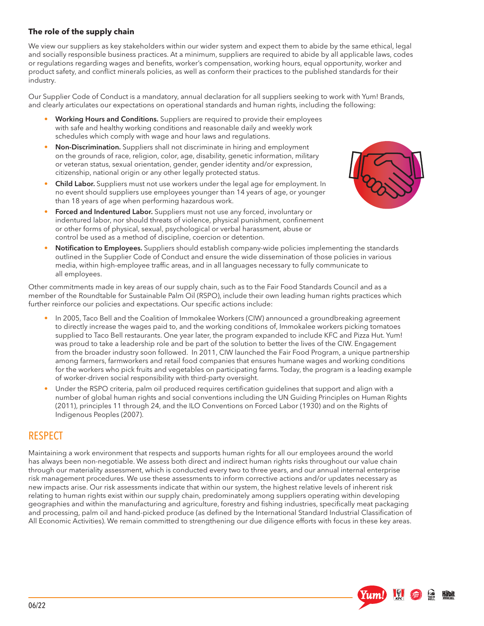### **The role of the supply chain**

We view our suppliers as key stakeholders within our wider system and expect them to abide by the same ethical, legal and socially responsible business practices. At a minimum, suppliers are required to abide by all applicable laws, codes or regulations regarding wages and benefits, worker's compensation, working hours, equal opportunity, worker and product safety, and conflict minerals policies, as well as conform their practices to the published standards for their industry.

Our Supplier Code of Conduct is a mandatory, annual declaration for all suppliers seeking to work with Yum! Brands, and clearly articulates our expectations on operational standards and human rights, including the following:

- Working Hours and Conditions. Suppliers are required to provide their employees with safe and healthy working conditions and reasonable daily and weekly work schedules which comply with wage and hour laws and regulations.
- Non-Discrimination. Suppliers shall not discriminate in hiring and employment on the grounds of race, religion, color, age, disability, genetic information, military or veteran status, sexual orientation, gender, gender identity and/or expression, citizenship, national origin or any other legally protected status.
- Child Labor. Suppliers must not use workers under the legal age for employment. In no event should suppliers use employees younger than 14 years of age, or younger than 18 years of age when performing hazardous work.
- Forced and Indentured Labor. Suppliers must not use any forced, involuntary or indentured labor, nor should threats of violence, physical punishment, confinement or other forms of physical, sexual, psychological or verbal harassment, abuse or control be used as a method of discipline, coercion or detention.



<u>Häbit</u>

• Notification to Employees. Suppliers should establish company-wide policies implementing the standards outlined in the Supplier Code of Conduct and ensure the wide dissemination of those policies in various media, within high-employee traffic areas, and in all languages necessary to fully communicate to all employees.

Other commitments made in key areas of our supply chain, such as to the Fair Food Standards Council and as a member of the Roundtable for Sustainable Palm Oil (RSPO), include their own leading human rights practices which further reinforce our policies and expectations. Our specific actions include:

- In 2005, Taco Bell and the Coalition of Immokalee Workers (CIW) announced a groundbreaking agreement to directly increase the wages paid to, and the working conditions of, Immokalee workers picking tomatoes supplied to Taco Bell restaurants. One year later, the program expanded to include KFC and Pizza Hut. Yum! was proud to take a leadership role and be part of the solution to better the lives of the CIW. Engagement from the broader industry soon followed. In 2011, CIW launched the Fair Food Program, a unique partnership among farmers, farmworkers and retail food companies that ensures humane wages and working conditions for the workers who pick fruits and vegetables on participating farms. Today, the program is a leading example of worker-driven social responsibility with third-party oversight.
- Under the RSPO criteria, palm oil produced requires certification guidelines that support and align with a number of global human rights and social conventions including the UN Guiding Principles on Human Rights (2011), principles 11 through 24, and the ILO Conventions on Forced Labor (1930) and on the Rights of Indigenous Peoples (2007).

# RESPECT

Maintaining a work environment that respects and supports human rights for all our employees around the world has always been non-negotiable. We assess both direct and indirect human rights risks throughout our value chain through our materiality assessment, which is conducted every two to three years, and our annual internal enterprise risk management procedures. We use these assessments to inform corrective actions and/or updates necessary as new impacts arise. Our risk assessments indicate that within our system, the highest relative levels of inherent risk relating to human rights exist within our supply chain, predominately among suppliers operating within developing geographies and within the manufacturing and agriculture, forestry and fishing industries, specifically meat packaging and processing, palm oil and hand-picked produce (as defined by the International Standard Industrial Classification of All Economic Activities). We remain committed to strengthening our due diligence efforts with focus in these key areas.